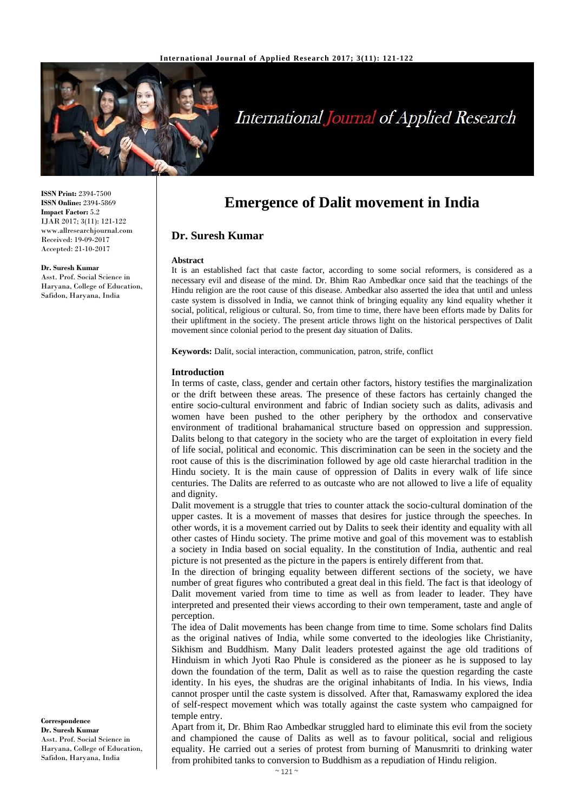

# **International Journal of Applied Research**

**ISSN Print:** 2394-7500 **ISSN Online:** 2394-5869 **Impact Factor:** 5.2 IJAR 2017; 3(11): 121-122 www.allresearchjournal.com Received: 19-09-2017 Accepted: 21-10-2017

**Dr. Suresh Kumar**

Asst. Prof. Social Science in Haryana, College of Education, Safidon, Haryana, India

**Emergence of Dalit movement in India**

## **Dr. Suresh Kumar**

#### **Abstract**

It is an established fact that caste factor, according to some social reformers, is considered as a necessary evil and disease of the mind. Dr. Bhim Rao Ambedkar once said that the teachings of the Hindu religion are the root cause of this disease. Ambedkar also asserted the idea that until and unless caste system is dissolved in India, we cannot think of bringing equality any kind equality whether it social, political, religious or cultural. So, from time to time, there have been efforts made by Dalits for their upliftment in the society. The present article throws light on the historical perspectives of Dalit movement since colonial period to the present day situation of Dalits.

**Keywords:** Dalit, social interaction, communication, patron, strife, conflict

#### **Introduction**

In terms of caste, class, gender and certain other factors, history testifies the marginalization or the drift between these areas. The presence of these factors has certainly changed the entire socio-cultural environment and fabric of Indian society such as dalits, adivasis and women have been pushed to the other periphery by the orthodox and conservative environment of traditional brahamanical structure based on oppression and suppression. Dalits belong to that category in the society who are the target of exploitation in every field of life social, political and economic. This discrimination can be seen in the society and the root cause of this is the discrimination followed by age old caste hierarchal tradition in the Hindu society. It is the main cause of oppression of Dalits in every walk of life since centuries. The Dalits are referred to as outcaste who are not allowed to live a life of equality and dignity.

Dalit movement is a struggle that tries to counter attack the socio-cultural domination of the upper castes. It is a movement of masses that desires for justice through the speeches. In other words, it is a movement carried out by Dalits to seek their identity and equality with all other castes of Hindu society. The prime motive and goal of this movement was to establish a society in India based on social equality. In the constitution of India, authentic and real picture is not presented as the picture in the papers is entirely different from that.

In the direction of bringing equality between different sections of the society, we have number of great figures who contributed a great deal in this field. The fact is that ideology of Dalit movement varied from time to time as well as from leader to leader. They have interpreted and presented their views according to their own temperament, taste and angle of perception.

The idea of Dalit movements has been change from time to time. Some scholars find Dalits as the original natives of India, while some converted to the ideologies like Christianity, Sikhism and Buddhism. Many Dalit leaders protested against the age old traditions of Hinduism in which Jyoti Rao Phule is considered as the pioneer as he is supposed to lay down the foundation of the term, Dalit as well as to raise the question regarding the caste identity. In his eyes, the shudras are the original inhabitants of India. In his views, India cannot prosper until the caste system is dissolved. After that, Ramaswamy explored the idea of self-respect movement which was totally against the caste system who campaigned for temple entry.

Apart from it, Dr. Bhim Rao Ambedkar struggled hard to eliminate this evil from the society and championed the cause of Dalits as well as to favour political, social and religious equality. He carried out a series of protest from burning of Manusmriti to drinking water from prohibited tanks to conversion to Buddhism as a repudiation of Hindu religion.

**Correspondence Dr. Suresh Kumar** Asst. Prof. Social Science in Haryana, College of Education, Safidon, Haryana, India